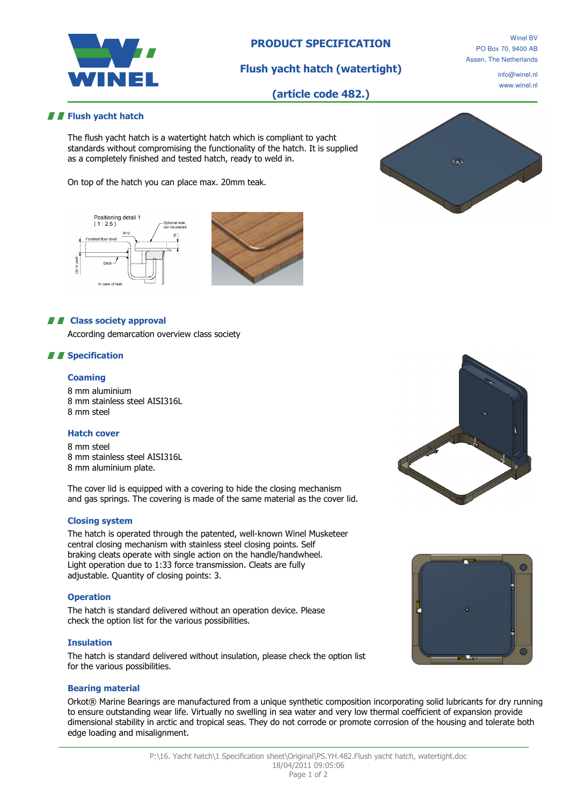

# PRODUCT SPECIFICATION

Flush yacht hatch (watertight)

(article code 482.)

Winel BV PO Box 70, 9400 AB Assen, The Netherlands

> info@winel.nl www.winel.nl

# **F** Flush yacht hatch

The flush yacht hatch is a watertight hatch which is compliant to yacht standards without compromising the functionality of the hatch. It is supplied as a completely finished and tested hatch, ready to weld in.

On top of the hatch you can place max. 20mm teak.





# **A F** Class society approval

According demarcation overview class society

# *II* Specification

### **Coaming**

8 mm aluminium 8 mm stainless steel AISI316L 8 mm steel

### Hatch cover

8 mm steel 8 mm stainless steel AISI316L 8 mm aluminium plate.

The cover lid is equipped with a covering to hide the closing mechanism and gas springs. The covering is made of the same material as the cover lid.

# Closing system

The hatch is operated through the patented, well-known Winel Musketeer central closing mechanism with stainless steel closing points. Self braking cleats operate with single action on the handle/handwheel. Light operation due to 1:33 force transmission. Cleats are fully adjustable. Quantity of closing points: 3.

#### **Operation**

The hatch is standard delivered without an operation device. Please check the option list for the various possibilities.

#### Insulation

The hatch is standard delivered without insulation, please check the option list for the various possibilities.

#### Bearing material

Orkot® Marine Bearings are manufactured from a unique synthetic composition incorporating solid lubricants for dry running to ensure outstanding wear life. Virtually no swelling in sea water and very low thermal coefficient of expansion provide dimensional stability in arctic and tropical seas. They do not corrode or promote corrosion of the housing and tolerate both edge loading and misalignment.



 $\widehat{\mathbb{Q}_{\text{ML}}}$